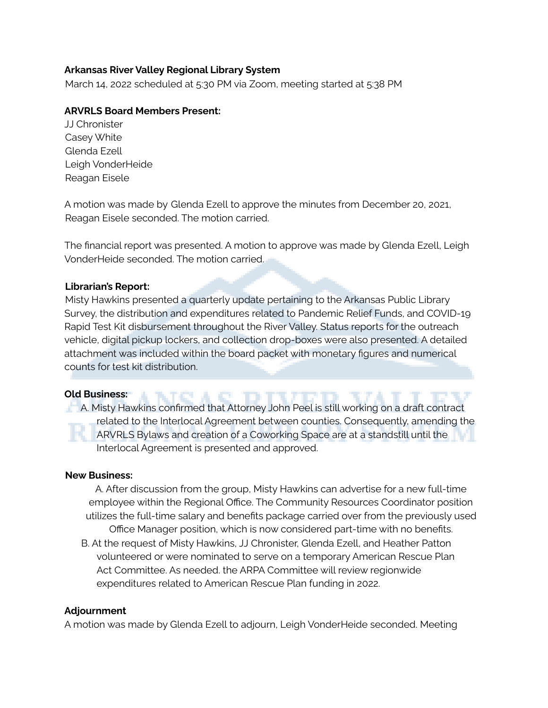## **Arkansas River Valley Regional Library System**

March 14, 2022 scheduled at 5:30 PM via Zoom, meeting started at 5:38 PM

# **ARVRLS Board Members Present:**

JJ Chronister Casey White Glenda Ezell Leigh VonderHeide Reagan Eisele

A motion was made by Glenda Ezell to approve the minutes from December 20, 2021, Reagan Eisele seconded. The motion carried.

The financial report was presented. A motion to approve was made by Glenda Ezell, Leigh VonderHeide seconded. The motion carried.

## **Librarian's Report:**

Misty Hawkins presented a quarterly update pertaining to the Arkansas Public Library Survey, the distribution and expenditures related to Pandemic Relief Funds, and COVID-19 Rapid Test Kit disbursement throughout the River Valley. Status reports for the outreach vehicle, digital pickup lockers, and collection drop-boxes were also presented. A detailed attachment was included within the board packet with monetary figures and numerical counts for test kit distribution.

TO A O

#### **Old Business:**

A. Misty Hawkins confirmed that Attorney John Peel is still working on a draft contract related to the Interlocal Agreement between counties. Consequently, amending the ARVRLS Bylaws and creation of a Coworking Space are at a standstill until the Interlocal Agreement is presented and approved.

#### **New Business:**

A. After discussion from the group, Misty Hawkins can advertise for a new full-time employee within the Regional Office. The Community Resources Coordinator position utilizes the full-time salary and benefits package carried over from the previously used Office Manager position, which is now considered part-time with no benefits. B. At the request of Misty Hawkins, JJ Chronister, Glenda Ezell, and Heather Patton volunteered or were nominated to serve on a temporary American Rescue Plan Act Committee. As needed. the ARPA Committee will review regionwide expenditures related to American Rescue Plan funding in 2022.

#### **Adjournment**

A motion was made by Glenda Ezell to adjourn, Leigh VonderHeide seconded. Meeting